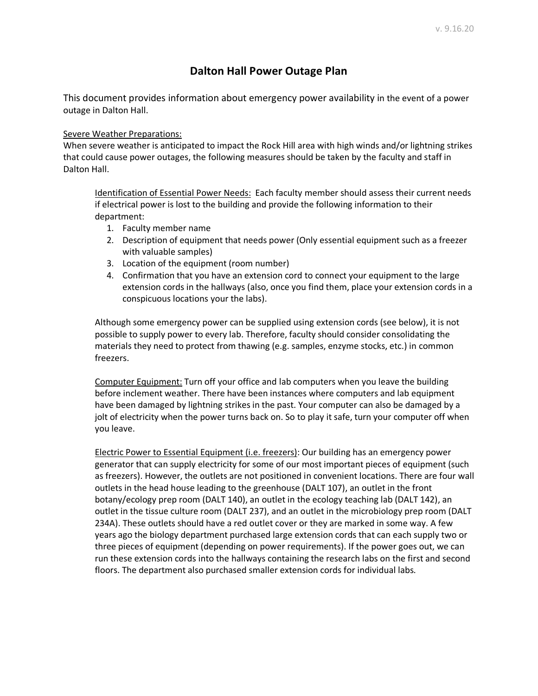## **Dalton Hall Power Outage Plan**

This document provides information about emergency power availability in the event of a power outage in Dalton Hall.

## Severe Weather Preparations:

When severe weather is anticipated to impact the Rock Hill area with high winds and/or lightning strikes that could cause power outages, the following measures should be taken by the faculty and staff in Dalton Hall.

Identification of Essential Power Needs: Each faculty member should assess their current needs if electrical power is lost to the building and provide the following information to their department:

- 1. Faculty member name
- 2. Description of equipment that needs power (Only essential equipment such as a freezer with valuable samples)
- 3. Location of the equipment (room number)
- 4. Confirmation that you have an extension cord to connect your equipment to the large extension cords in the hallways (also, once you find them, place your extension cords in a conspicuous locations your the labs).

Although some emergency power can be supplied using extension cords (see below), it is not possible to supply power to every lab. Therefore, faculty should consider consolidating the materials they need to protect from thawing (e.g. samples, enzyme stocks, etc.) in common freezers.

Computer Equipment: Turn off your office and lab computers when you leave the building before inclement weather. There have been instances where computers and lab equipment have been damaged by lightning strikes in the past. Your computer can also be damaged by a jolt of electricity when the power turns back on. So to play it safe, turn your computer off when you leave.

Electric Power to Essential Equipment (i.e. freezers): Our building has an emergency power generator that can supply electricity for some of our most important pieces of equipment (such as freezers). However, the outlets are not positioned in convenient locations. There are four wall outlets in the head house leading to the greenhouse (DALT 107), an outlet in the front botany/ecology prep room (DALT 140), an outlet in the ecology teaching lab (DALT 142), an outlet in the tissue culture room (DALT 237), and an outlet in the microbiology prep room (DALT 234A). These outlets should have a red outlet cover or they are marked in some way. A few years ago the biology department purchased large extension cords that can each supply two or three pieces of equipment (depending on power requirements). If the power goes out, we can run these extension cords into the hallways containing the research labs on the first and second floors. The department also purchased smaller extension cords for individual labs.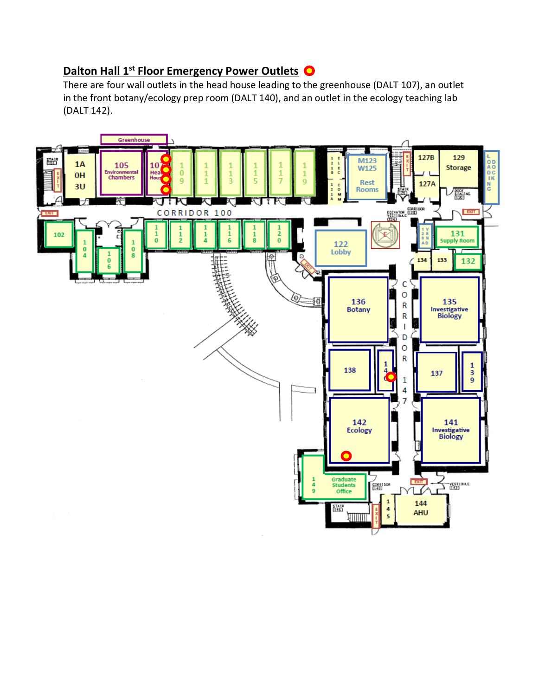## **Dalton Hall 1st Floor Emergency Power Outlets O**

There are four wall outlets in the head house leading to the greenhouse (DALT 107), an outlet in the front botany/ecology prep room (DALT 140), and an outlet in the ecology teaching lab (DALT 142).